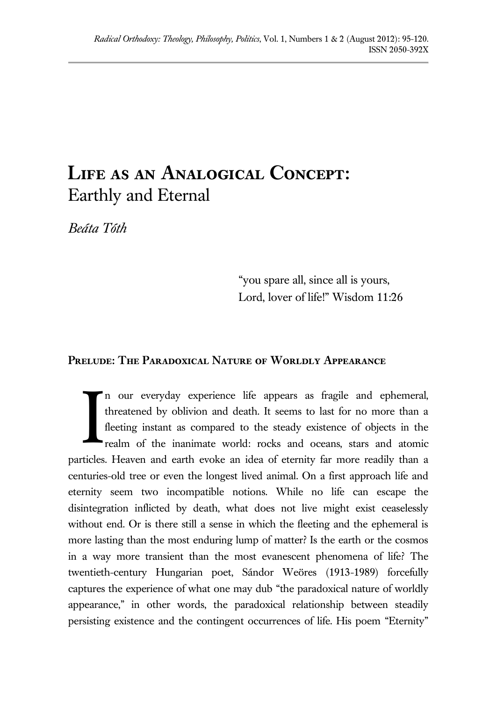# **Life as an Analogical Concept:** Earthly and Eternal

*Beáta Tóth*

"you spare all, since all is yours, Lord, lover of life!" Wisdom 11:26

## **Prelude: The Paradoxical Nature of Worldly Appearance**

n our everyday experience life appears as fragile and ephemeral, threatened by oblivion and death. It seems to last for no more than a fleeting instant as compared to the steady existence of objects in the realm of the inanimate world: rocks and oceans, stars and atomic particles. Heaven and earth evoke an idea of eternity far more readily than a centuries-old tree or even the longest lived animal. On a first approach life and eternity seem two incompatible notions. While no life can escape the disintegration inflicted by death, what does not live might exist ceaselessly without end. Or is there still a sense in which the fleeting and the ephemeral is more lasting than the most enduring lump of matter? Is the earth or the cosmos in a way more transient than the most evanescent phenomena of life? The twentieth-century Hungarian poet, Sándor Weöres (1913-1989) forcefully captures the experience of what one may dub "the paradoxical nature of worldly appearance," in other words, the paradoxical relationship between steadily persisting existence and the contingent occurrences of life. His poem "Eternity" I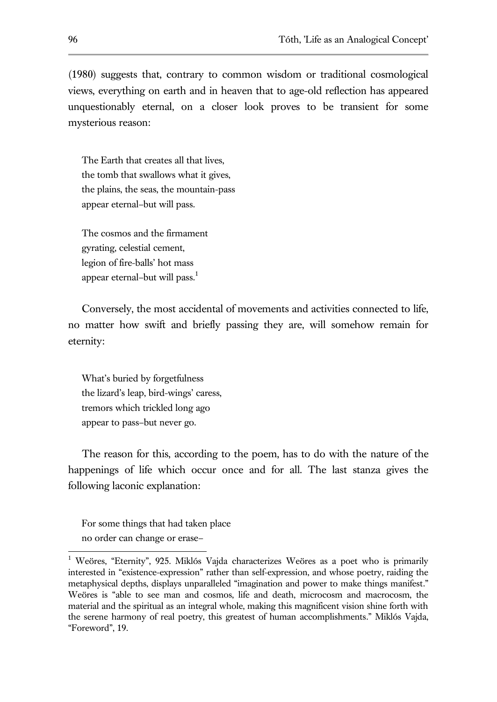(1980) suggests that, contrary to common wisdom or traditional cosmological views, everything on earth and in heaven that to age-old reflection has appeared unquestionably eternal, on a closer look proves to be transient for some mysterious reason:

The Earth that creates all that lives, the tomb that swallows what it gives, the plains, the seas, the mountain-pass appear eternal–but will pass.

The cosmos and the firmament gyrating, celestial cement, legion of fire-balls' hot mass appear eternal–but will pass.<sup>1</sup>

Conversely, the most accidental of movements and activities connected to life, no matter how swift and briefly passing they are, will somehow remain for eternity:

What's buried by forgetfulness the lizard's leap, bird-wings' caress, tremors which trickled long ago appear to pass–but never go.

The reason for this, according to the poem, has to do with the nature of the happenings of life which occur once and for all. The last stanza gives the following laconic explanation:

For some things that had taken place no order can change or erase–

<sup>&</sup>lt;sup>1</sup> Weöres, "Eternity", 925. Miklós Vajda characterizes Weöres as a poet who is primarily interested in "existence-expression" rather than self-expression, and whose poetry, raiding the metaphysical depths, displays unparalleled "imagination and power to make things manifest." Weöres is "able to see man and cosmos, life and death, microcosm and macrocosm, the material and the spiritual as an integral whole, making this magnificent vision shine forth with the serene harmony of real poetry, this greatest of human accomplishments." Miklós Vajda, "Foreword", 19.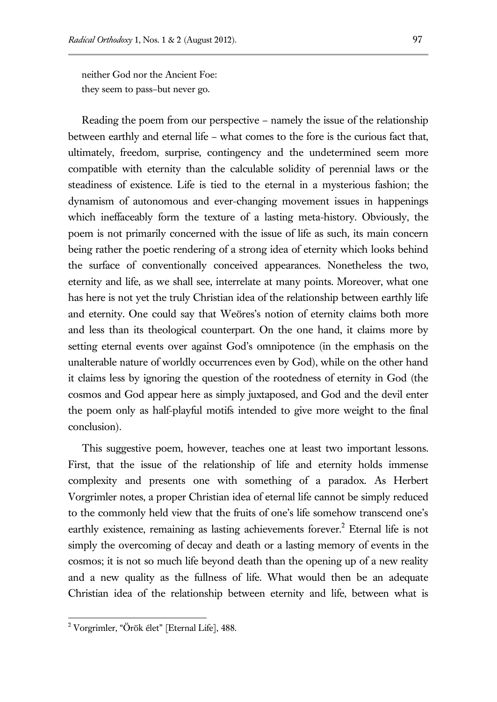neither God nor the Ancient Foe: they seem to pass–but never go.

Reading the poem from our perspective – namely the issue of the relationship between earthly and eternal life – what comes to the fore is the curious fact that, ultimately, freedom, surprise, contingency and the undetermined seem more compatible with eternity than the calculable solidity of perennial laws or the steadiness of existence. Life is tied to the eternal in a mysterious fashion; the dynamism of autonomous and ever-changing movement issues in happenings which ineffaceably form the texture of a lasting meta-history. Obviously, the poem is not primarily concerned with the issue of life as such, its main concern being rather the poetic rendering of a strong idea of eternity which looks behind the surface of conventionally conceived appearances. Nonetheless the two, eternity and life, as we shall see, interrelate at many points. Moreover, what one has here is not yet the truly Christian idea of the relationship between earthly life and eternity. One could say that Weöres's notion of eternity claims both more and less than its theological counterpart. On the one hand, it claims more by setting eternal events over against God's omnipotence (in the emphasis on the unalterable nature of worldly occurrences even by God), while on the other hand it claims less by ignoring the question of the rootedness of eternity in God (the cosmos and God appear here as simply juxtaposed, and God and the devil enter the poem only as half-playful motifs intended to give more weight to the final conclusion).

This suggestive poem, however, teaches one at least two important lessons. First, that the issue of the relationship of life and eternity holds immense complexity and presents one with something of a paradox. As Herbert Vorgrimler notes, a proper Christian idea of eternal life cannot be simply reduced to the commonly held view that the fruits of one's life somehow transcend one's earthly existence, remaining as lasting achievements forever.<sup>2</sup> Eternal life is not simply the overcoming of decay and death or a lasting memory of events in the cosmos; it is not so much life beyond death than the opening up of a new reality and a new quality as the fullness of life. What would then be an adequate Christian idea of the relationship between eternity and life, between what is

<sup>2</sup> Vorgrimler, "Örök élet" [Eternal Life], 488.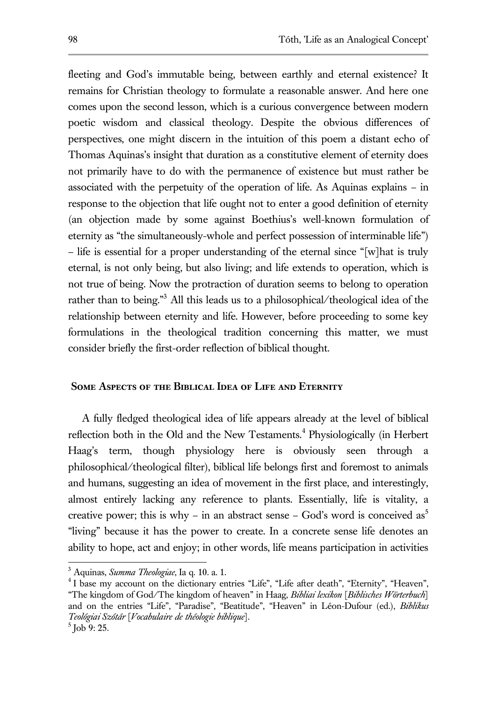fleeting and God's immutable being, between earthly and eternal existence? It remains for Christian theology to formulate a reasonable answer. And here one comes upon the second lesson, which is a curious convergence between modern poetic wisdom and classical theology. Despite the obvious differences of perspectives, one might discern in the intuition of this poem a distant echo of Thomas Aquinas's insight that duration as a constitutive element of eternity does not primarily have to do with the permanence of existence but must rather be associated with the perpetuity of the operation of life. As Aquinas explains – in response to the objection that life ought not to enter a good definition of eternity (an objection made by some against Boethius's well-known formulation of eternity as "the simultaneously-whole and perfect possession of interminable life") – life is essential for a proper understanding of the eternal since "[w]hat is truly eternal, is not only being, but also living; and life extends to operation, which is not true of being. Now the protraction of duration seems to belong to operation rather than to being."<sup>3</sup> All this leads us to a philosophical/theological idea of the relationship between eternity and life. However, before proceeding to some key formulations in the theological tradition concerning this matter, we must consider briefly the first-order reflection of biblical thought.

## **Some Aspects of the Biblical Idea of Life and Eternity**

A fully fledged theological idea of life appears already at the level of biblical reflection both in the Old and the New Testaments.<sup>4</sup> Physiologically (in Herbert Haag's term, though physiology here is obviously seen through a philosophical/theological filter), biblical life belongs first and foremost to animals and humans, suggesting an idea of movement in the first place, and interestingly, almost entirely lacking any reference to plants. Essentially, life is vitality, a creative power; this is why – in an abstract sense – God's word is conceived as<sup>5</sup> "living" because it has the power to create. In a concrete sense life denotes an ability to hope, act and enjoy; in other words, life means participation in activities

<sup>3</sup> Aquinas, *Summa Theologiae*, Ia q. 10. a. 1.

<sup>&</sup>lt;sup>4</sup> I base my account on the dictionary entries "Life", "Life after death", "Eternity", "Heaven", "The kingdom of God/The kingdom of heaven" in Haag, *Bibliai lexikon* [*Biblisches Wörterbuch*] and on the entries "Life", "Paradise", "Beatitude", "Heaven" in Léon-Dufour (ed.), *Biblikus Teológiai Szótár* [*Vocabulaire de théologie biblique*].

 $^5$  Job 9: 25.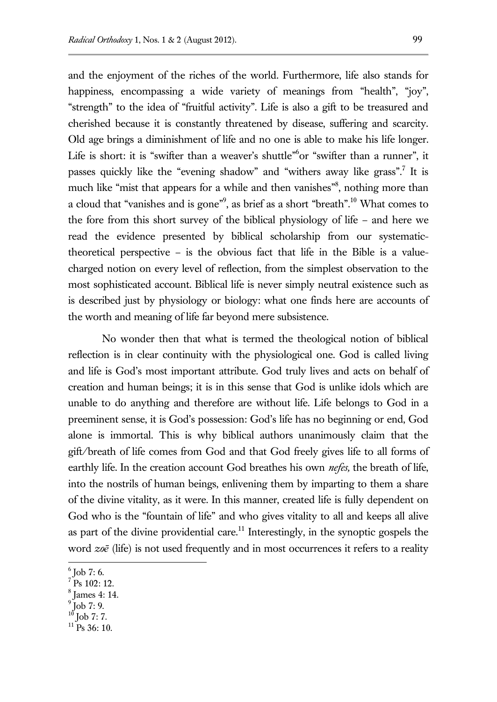and the enjoyment of the riches of the world. Furthermore, life also stands for happiness, encompassing a wide variety of meanings from "health", "joy", "strength" to the idea of "fruitful activity". Life is also a gift to be treasured and cherished because it is constantly threatened by disease, suffering and scarcity. Old age brings a diminishment of life and no one is able to make his life longer. Life is short: it is "swifter than a weaver's shuttle" or "swifter than a runner", it passes quickly like the "evening shadow" and "withers away like grass".<sup>7</sup> It is much like "mist that appears for a while and then vanishes"<sup>8</sup>, nothing more than a cloud that "vanishes and is gone"<sup>9</sup>, as brief as a short "breath".<sup>10</sup> What comes to the fore from this short survey of the biblical physiology of life – and here we read the evidence presented by biblical scholarship from our systematictheoretical perspective – is the obvious fact that life in the Bible is a valuecharged notion on every level of reflection, from the simplest observation to the most sophisticated account. Biblical life is never simply neutral existence such as is described just by physiology or biology: what one finds here are accounts of

No wonder then that what is termed the theological notion of biblical reflection is in clear continuity with the physiological one. God is called living and life is God's most important attribute. God truly lives and acts on behalf of creation and human beings; it is in this sense that God is unlike idols which are unable to do anything and therefore are without life. Life belongs to God in a preeminent sense, it is God's possession: God's life has no beginning or end, God alone is immortal. This is why biblical authors unanimously claim that the gift/breath of life comes from God and that God freely gives life to all forms of earthly life. In the creation account God breathes his own *nefes,* the breath of life, into the nostrils of human beings, enlivening them by imparting to them a share of the divine vitality, as it were. In this manner, created life is fully dependent on God who is the "fountain of life" and who gives vitality to all and keeps all alive as part of the divine providential care.<sup>11</sup> Interestingly, in the synoptic gospels the word *zoē* (life) is not used frequently and in most occurrences it refers to a reality

the worth and meaning of life far beyond mere subsistence.

l  $^6$  Job 7: 6.

 $7$  Ps 102: 12.

<sup>8</sup> James 4: 14.

<sup>9</sup> Job 7: 9.

Job 7: 7.

 $11$  Ps 36: 10.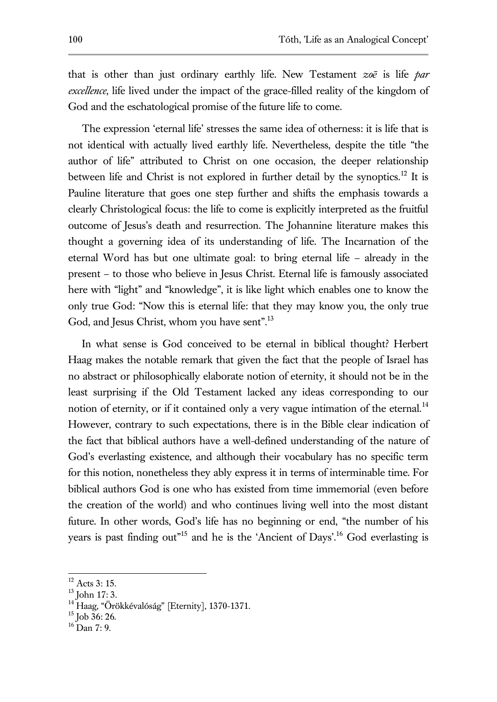that is other than just ordinary earthly life. New Testament *zoē* is life *par excellence*, life lived under the impact of the grace-filled reality of the kingdom of God and the eschatological promise of the future life to come.

The expression 'eternal life' stresses the same idea of otherness: it is life that is not identical with actually lived earthly life. Nevertheless, despite the title "the author of life" attributed to Christ on one occasion, the deeper relationship between life and Christ is not explored in further detail by the synoptics.<sup>12</sup> It is Pauline literature that goes one step further and shifts the emphasis towards a clearly Christological focus: the life to come is explicitly interpreted as the fruitful outcome of Jesus's death and resurrection. The Johannine literature makes this thought a governing idea of its understanding of life. The Incarnation of the eternal Word has but one ultimate goal: to bring eternal life – already in the present – to those who believe in Jesus Christ. Eternal life is famously associated here with "light" and "knowledge", it is like light which enables one to know the only true God: "Now this is eternal life: that they may know you, the only true God, and Jesus Christ, whom you have sent".<sup>13</sup>

In what sense is God conceived to be eternal in biblical thought? Herbert Haag makes the notable remark that given the fact that the people of Israel has no abstract or philosophically elaborate notion of eternity, it should not be in the least surprising if the Old Testament lacked any ideas corresponding to our notion of eternity, or if it contained only a very vague intimation of the eternal. $^{14}$ However, contrary to such expectations, there is in the Bible clear indication of the fact that biblical authors have a well-defined understanding of the nature of God's everlasting existence, and although their vocabulary has no specific term for this notion, nonetheless they ably express it in terms of interminable time. For biblical authors God is one who has existed from time immemorial (even before the creation of the world) and who continues living well into the most distant future. In other words, God's life has no beginning or end, "the number of his years is past finding out<sup>"15</sup> and he is the 'Ancient of Days'.<sup>16</sup> God everlasting is

 $12$  Acts 3: 15.

 $13$  John 17: 3.

<sup>&</sup>lt;sup>14</sup> Haag, "Örökkévalóság" [Eternity], 1370-1371.

 $15$  Job 36: 26.

 $16$  Dan 7: 9.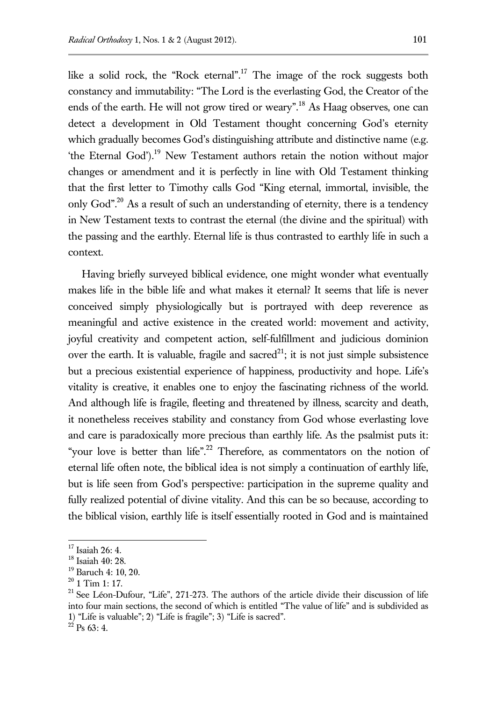like a solid rock, the "Rock eternal".<sup>17</sup> The image of the rock suggests both constancy and immutability: "The Lord is the everlasting God, the Creator of the ends of the earth. He will not grow tired or weary".<sup>18</sup> As Haag observes, one can detect a development in Old Testament thought concerning God's eternity which gradually becomes God's distinguishing attribute and distinctive name (e.g. 'the Eternal God').<sup>19</sup> New Testament authors retain the notion without major changes or amendment and it is perfectly in line with Old Testament thinking that the first letter to Timothy calls God "King eternal, immortal, invisible, the only God". <sup>20</sup> As a result of such an understanding of eternity, there is a tendency in New Testament texts to contrast the eternal (the divine and the spiritual) with the passing and the earthly. Eternal life is thus contrasted to earthly life in such a context.

Having briefly surveyed biblical evidence, one might wonder what eventually makes life in the bible life and what makes it eternal? It seems that life is never conceived simply physiologically but is portrayed with deep reverence as meaningful and active existence in the created world: movement and activity, joyful creativity and competent action, self-fulfillment and judicious dominion over the earth. It is valuable, fragile and sacred<sup>21</sup>; it is not just simple subsistence but a precious existential experience of happiness, productivity and hope. Life's vitality is creative, it enables one to enjoy the fascinating richness of the world. And although life is fragile, fleeting and threatened by illness, scarcity and death, it nonetheless receives stability and constancy from God whose everlasting love and care is paradoxically more precious than earthly life. As the psalmist puts it: "your love is better than life".<sup>22</sup> Therefore, as commentators on the notion of eternal life often note, the biblical idea is not simply a continuation of earthly life, but is life seen from God's perspective: participation in the supreme quality and fully realized potential of divine vitality. And this can be so because, according to the biblical vision, earthly life is itself essentially rooted in God and is maintained

 $17$  Isaiah 26: 4.

<sup>18</sup> Isaiah 40: 28.

<sup>19</sup> Baruch 4: 10, 20.

 $20$  1 Tim 1: 17.

<sup>&</sup>lt;sup>21</sup> See Léon-Dufour, "Life", 271-273. The authors of the article divide their discussion of life into four main sections, the second of which is entitled "The value of life" and is subdivided as 1) "Life is valuable"; 2) "Life is fragile"; 3) "Life is sacred".

 $^{22}$  Ps 63: 4.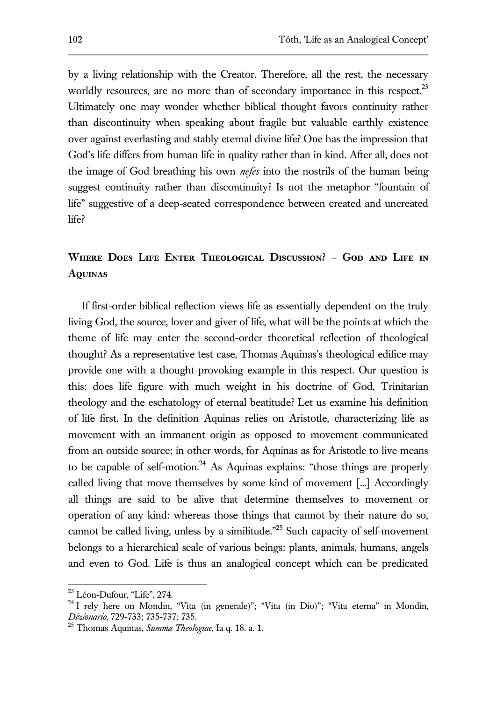by a living relationship with the Creator. Therefore, all the rest, the necessary worldly resources, are no more than of secondary importance in this respect.<sup>23</sup> Ultimately one may wonder whether biblical thought favors continuity rather than discontinuity when speaking about fragile but valuable earthly existence over against everlasting and stably eternal divine life? One has the impression that God's life differs from human life in quality rather than in kind. After all, does not the image of God breathing his own *nefes* into the nostrils of the human being suggest continuity rather than discontinuity? Is not the metaphor "fountain of life" suggestive of a deep-seated correspondence between created and uncreated life?

## **Where Does Life Enter Theological Discussion? – God and Life in Aquinas**

If first-order biblical reflection views life as essentially dependent on the truly living God, the source, lover and giver of life, what will be the points at which the theme of life may enter the second-order theoretical reflection of theological thought? As a representative test case, Thomas Aquinas's theological edifice may provide one with a thought-provoking example in this respect. Our question is this: does life figure with much weight in his doctrine of God, Trinitarian theology and the eschatology of eternal beatitude? Let us examine his definition of life first. In the definition Aquinas relies on Aristotle, characterizing life as movement with an immanent origin as opposed to movement communicated from an outside source; in other words, for Aquinas as for Aristotle to live means to be capable of self-motion.<sup>24</sup> As Aquinas explains: "those things are properly called living that move themselves by some kind of movement [...] Accordingly all things are said to be alive that determine themselves to movement or operation of any kind: whereas those things that cannot by their nature do so, cannot be called living, unless by a similitude." <sup>25</sup> Such capacity of self-movement belongs to a hierarchical scale of various beings: plants, animals, humans, angels and even to God. Life is thus an analogical concept which can be predicated

<sup>&</sup>lt;sup>23</sup> Léon-Dufour, "Life", 274.

 $24$  I rely here on Mondin, "Vita (in generale)"; "Vita (in Dio)"; "Vita eterna" in Mondin, *Dizionario,* 729-733; 735-737; 735.

<sup>25</sup> Thomas Aquinas, *Summa Theologiae*, Ia q. 18. a. 1.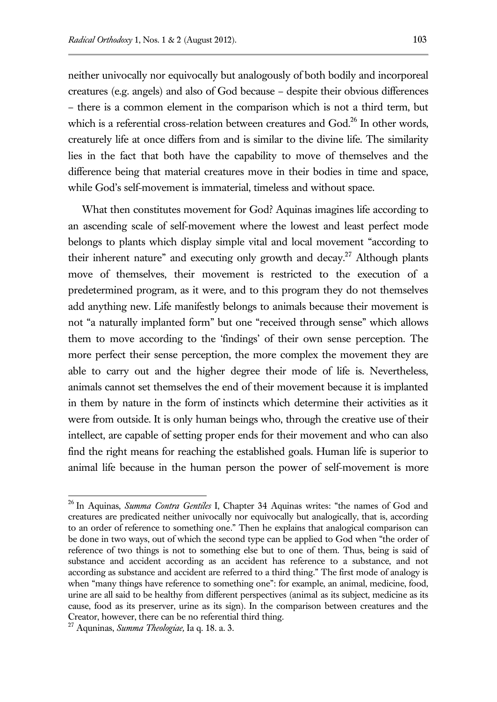neither univocally nor equivocally but analogously of both bodily and incorporeal creatures (e.g. angels) and also of God because – despite their obvious differences – there is a common element in the comparison which is not a third term, but which is a referential cross-relation between creatures and  $God.<sup>26</sup>$  In other words, creaturely life at once differs from and is similar to the divine life. The similarity lies in the fact that both have the capability to move of themselves and the difference being that material creatures move in their bodies in time and space, while God's self-movement is immaterial, timeless and without space.

What then constitutes movement for God? Aquinas imagines life according to an ascending scale of self-movement where the lowest and least perfect mode belongs to plants which display simple vital and local movement "according to their inherent nature" and executing only growth and decay.<sup>27</sup> Although plants move of themselves, their movement is restricted to the execution of a predetermined program, as it were, and to this program they do not themselves add anything new. Life manifestly belongs to animals because their movement is not "a naturally implanted form" but one "received through sense" which allows them to move according to the 'findings' of their own sense perception. The more perfect their sense perception, the more complex the movement they are able to carry out and the higher degree their mode of life is. Nevertheless, animals cannot set themselves the end of their movement because it is implanted in them by nature in the form of instincts which determine their activities as it were from outside. It is only human beings who, through the creative use of their intellect, are capable of setting proper ends for their movement and who can also find the right means for reaching the established goals. Human life is superior to animal life because in the human person the power of self-movement is more

<sup>26</sup> In Aquinas, *Summa Contra Gentiles* I, Chapter 34 Aquinas writes: "the names of God and creatures are predicated neither univocally nor equivocally but analogically, that is, according to an order of reference to something one." Then he explains that analogical comparison can be done in two ways, out of which the second type can be applied to God when "the order of reference of two things is not to something else but to one of them. Thus, being is said of substance and accident according as an accident has reference to a substance, and not according as substance and accident are referred to a third thing." The first mode of analogy is when "many things have reference to something one": for example, an animal, medicine, food, urine are all said to be healthy from different perspectives (animal as its subject, medicine as its cause, food as its preserver, urine as its sign). In the comparison between creatures and the Creator, however, there can be no referential third thing.

<sup>27</sup> Aquninas, *Summa Theologiae,* Ia q. 18. a. 3.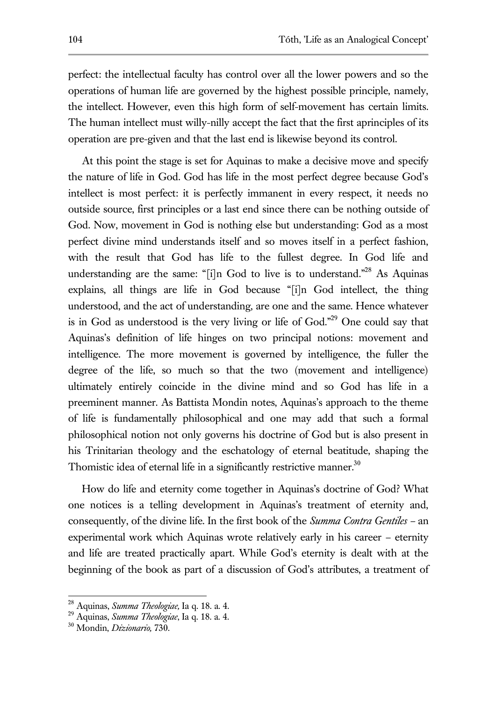perfect: the intellectual faculty has control over all the lower powers and so the operations of human life are governed by the highest possible principle, namely, the intellect. However, even this high form of self-movement has certain limits. The human intellect must willy-nilly accept the fact that the first aprinciples of its operation are pre-given and that the last end is likewise beyond its control.

At this point the stage is set for Aquinas to make a decisive move and specify the nature of life in God. God has life in the most perfect degree because God's intellect is most perfect: it is perfectly immanent in every respect, it needs no outside source, first principles or a last end since there can be nothing outside of God. Now, movement in God is nothing else but understanding: God as a most perfect divine mind understands itself and so moves itself in a perfect fashion, with the result that God has life to the fullest degree. In God life and understanding are the same: "[i]n God to live is to understand."<sup>28</sup> As Aquinas explains, all things are life in God because "[i]n God intellect, the thing understood, and the act of understanding, are one and the same. Hence whatever is in God as understood is the very living or life of God." <sup>29</sup> One could say that Aquinas's definition of life hinges on two principal notions: movement and intelligence. The more movement is governed by intelligence, the fuller the degree of the life, so much so that the two (movement and intelligence) ultimately entirely coincide in the divine mind and so God has life in a preeminent manner. As Battista Mondin notes, Aquinas's approach to the theme of life is fundamentally philosophical and one may add that such a formal philosophical notion not only governs his doctrine of God but is also present in his Trinitarian theology and the eschatology of eternal beatitude, shaping the Thomistic idea of eternal life in a significantly restrictive manner.<sup>30</sup>

How do life and eternity come together in Aquinas's doctrine of God? What one notices is a telling development in Aquinas's treatment of eternity and, consequently, of the divine life. In the first book of the *Summa Contra Gentiles –* an experimental work which Aquinas wrote relatively early in his career – eternity and life are treated practically apart. While God's eternity is dealt with at the beginning of the book as part of a discussion of God's attributes, a treatment of

<sup>28</sup> Aquinas, *Summa Theologiae,* Ia q. 18. a. 4.

<sup>29</sup> Aquinas, *Summa Theologiae*, Ia q. 18. a. 4.

<sup>30</sup> Mondin, *Dizionario,* 730.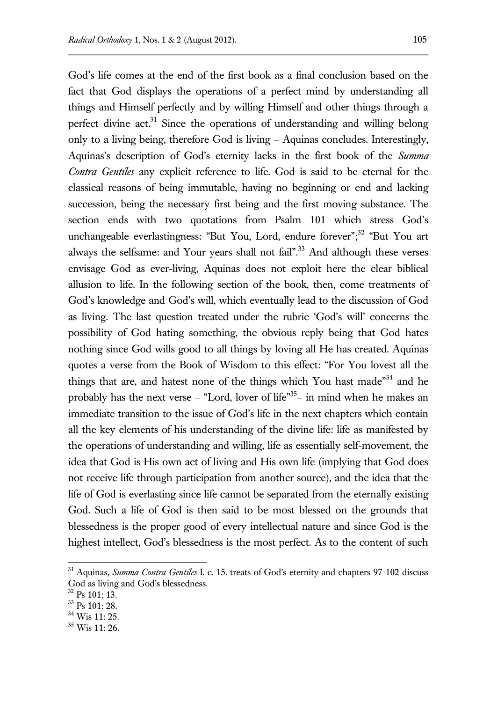God's life comes at the end of the first book as a final conclusion based on the fact that God displays the operations of a perfect mind by understanding all things and Himself perfectly and by willing Himself and other things through a perfect divine act.<sup>31</sup> Since the operations of understanding and willing belong only to a living being, therefore God is living – Aquinas concludes. Interestingly, Aquinas's description of God's eternity lacks in the first book of the *Summa Contra Gentiles* any explicit reference to life. God is said to be eternal for the classical reasons of being immutable, having no beginning or end and lacking succession, being the necessary first being and the first moving substance. The section ends with two quotations from Psalm 101 which stress God's unchangeable everlastingness: "But You, Lord, endure forever";<sup>32</sup> "But You art always the selfsame: and Your years shall not fail".<sup>33</sup> And although these verses envisage God as ever-living, Aquinas does not exploit here the clear biblical allusion to life. In the following section of the book, then, come treatments of God's knowledge and God's will, which eventually lead to the discussion of God as living. The last question treated under the rubric 'God's will' concerns the possibility of God hating something, the obvious reply being that God hates nothing since God wills good to all things by loving all He has created. Aquinas quotes a verse from the Book of Wisdom to this effect: "For You lovest all the things that are, and hatest none of the things which You hast made"<sup>34</sup> and he probably has the next verse - "Lord, lover of life"<sup>35</sup>- in mind when he makes an immediate transition to the issue of God's life in the next chapters which contain all the key elements of his understanding of the divine life: life as manifested by the operations of understanding and willing, life as essentially self-movement, the idea that God is His own act of living and His own life (implying that God does not receive life through participation from another source), and the idea that the life of God is everlasting since life cannot be separated from the eternally existing God. Such a life of God is then said to be most blessed on the grounds that blessedness is the proper good of every intellectual nature and since God is the highest intellect, God's blessedness is the most perfect. As to the content of such

<sup>31</sup> Aquinas, *Summa Contra Gentiles* I. c. 15. treats of God's eternity and chapters 97-102 discuss God as living and God's blessedness.

<sup>32</sup> Ps 101: 13.

<sup>33</sup> Ps 101: 28.

<sup>34</sup> Wis 11: 25.

 $35$  Wis 11: 26.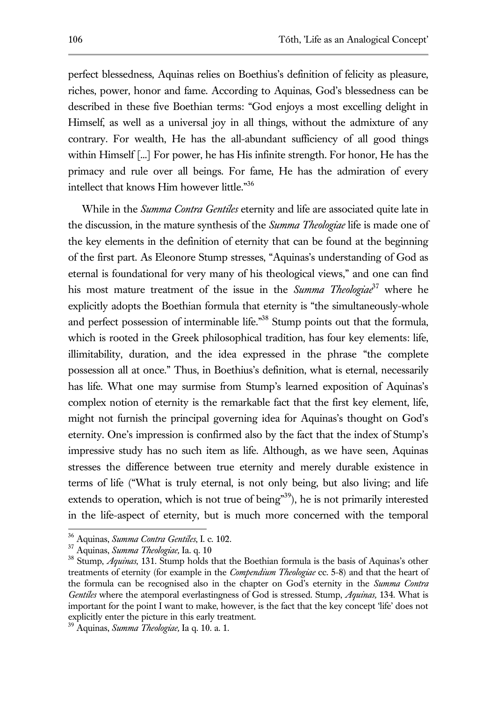perfect blessedness, Aquinas relies on Boethius's definition of felicity as pleasure, riches, power, honor and fame. According to Aquinas, God's blessedness can be described in these five Boethian terms: "God enjoys a most excelling delight in Himself, as well as a universal joy in all things, without the admixture of any contrary. For wealth, He has the all-abundant sufficiency of all good things within Himself [...] For power, he has His infinite strength. For honor, He has the primacy and rule over all beings. For fame, He has the admiration of every intellect that knows Him however little." 36

While in the *Summa Contra Gentiles* eternity and life are associated quite late in the discussion, in the mature synthesis of the *Summa Theologiae* life is made one of the key elements in the definition of eternity that can be found at the beginning of the first part. As Eleonore Stump stresses, "Aquinas's understanding of God as eternal is foundational for very many of his theological views," and one can find his most mature treatment of the issue in the *Summa Theologiae*<sup>37</sup> where he explicitly adopts the Boethian formula that eternity is "the simultaneously-whole and perfect possession of interminable life."<sup>38</sup> Stump points out that the formula, which is rooted in the Greek philosophical tradition, has four key elements: life, illimitability, duration, and the idea expressed in the phrase "the complete possession all at once." Thus, in Boethius's definition, what is eternal, necessarily has life. What one may surmise from Stump's learned exposition of Aquinas's complex notion of eternity is the remarkable fact that the first key element, life, might not furnish the principal governing idea for Aquinas's thought on God's eternity. One's impression is confirmed also by the fact that the index of Stump's impressive study has no such item as life. Although, as we have seen, Aquinas stresses the difference between true eternity and merely durable existence in terms of life ("What is truly eternal, is not only being, but also living; and life extends to operation, which is not true of being"<sup>39</sup>), he is not primarily interested in the life-aspect of eternity, but is much more concerned with the temporal

-

<sup>36</sup> Aquinas, *Summa Contra Gentiles*, I. c. 102.

<sup>37</sup> Aquinas, *Summa Theologiae,* Ia. q. 10

<sup>38</sup> Stump, *Aquinas*, 131. Stump holds that the Boethian formula is the basis of Aquinas's other treatments of eternity (for example in the *Compendium Theologiae* cc. 5-8) and that the heart of the formula can be recognised also in the chapter on God's eternity in the *Summa Contra Gentiles* where the atemporal everlastingness of God is stressed. Stump, *Aquinas,* 134. What is important for the point I want to make, however, is the fact that the key concept 'life' does not explicitly enter the picture in this early treatment.

<sup>39</sup> Aquinas, *Summa Theologiae,* Ia q. 10. a. 1.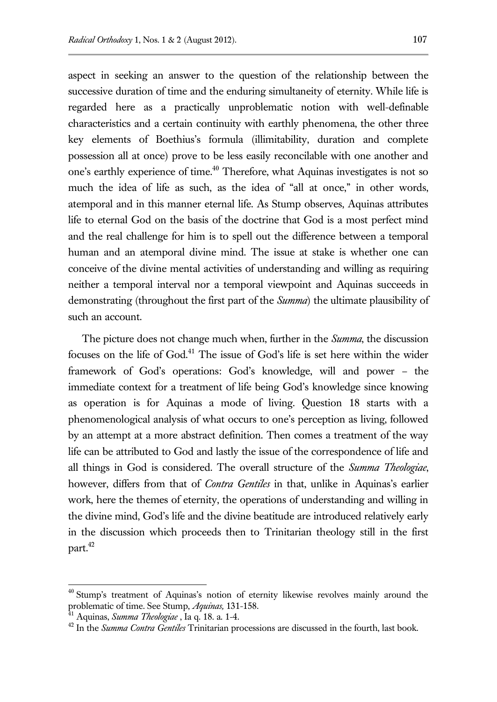aspect in seeking an answer to the question of the relationship between the successive duration of time and the enduring simultaneity of eternity. While life is regarded here as a practically unproblematic notion with well-definable characteristics and a certain continuity with earthly phenomena, the other three key elements of Boethius's formula (illimitability, duration and complete possession all at once) prove to be less easily reconcilable with one another and one's earthly experience of time.<sup>40</sup> Therefore, what Aquinas investigates is not so much the idea of life as such, as the idea of "all at once," in other words, atemporal and in this manner eternal life. As Stump observes, Aquinas attributes life to eternal God on the basis of the doctrine that God is a most perfect mind and the real challenge for him is to spell out the difference between a temporal human and an atemporal divine mind. The issue at stake is whether one can conceive of the divine mental activities of understanding and willing as requiring neither a temporal interval nor a temporal viewpoint and Aquinas succeeds in demonstrating (throughout the first part of the *Summa*) the ultimate plausibility of such an account.

The picture does not change much when, further in the *Summa*, the discussion focuses on the life of God.<sup>41</sup> The issue of God's life is set here within the wider framework of God's operations: God's knowledge, will and power – the immediate context for a treatment of life being God's knowledge since knowing as operation is for Aquinas a mode of living. Question 18 starts with a phenomenological analysis of what occurs to one's perception as living, followed by an attempt at a more abstract definition. Then comes a treatment of the way life can be attributed to God and lastly the issue of the correspondence of life and all things in God is considered. The overall structure of the *Summa Theologiae*, however, differs from that of *Contra Gentiles* in that, unlike in Aquinas's earlier work, here the themes of eternity, the operations of understanding and willing in the divine mind, God's life and the divine beatitude are introduced relatively early in the discussion which proceeds then to Trinitarian theology still in the first part.<sup>42</sup>

<sup>&</sup>lt;sup>40</sup> Stump's treatment of Aquinas's notion of eternity likewise revolves mainly around the problematic of time. See Stump, *Aquinas*, 131-158.

<sup>41</sup> Aquinas, *Summa Theologiae* , Ia q. 18. a. 1-4.

<sup>42</sup> In the *Summa Contra Gentiles* Trinitarian processions are discussed in the fourth, last book.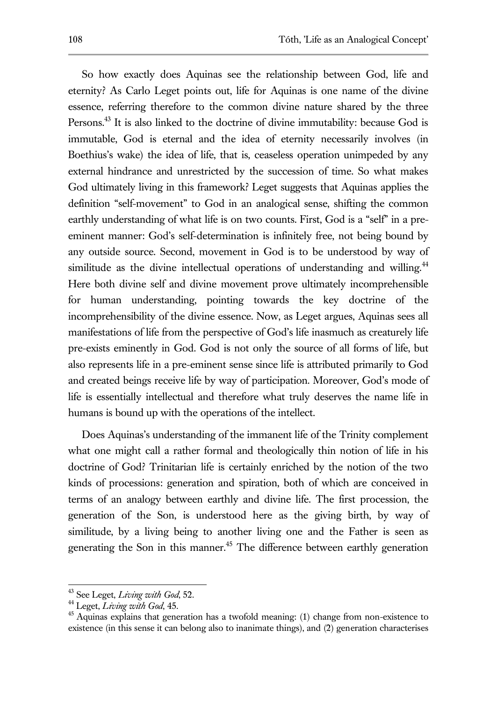So how exactly does Aquinas see the relationship between God, life and eternity? As Carlo Leget points out, life for Aquinas is one name of the divine essence, referring therefore to the common divine nature shared by the three Persons.<sup>43</sup> It is also linked to the doctrine of divine immutability: because God is immutable, God is eternal and the idea of eternity necessarily involves (in Boethius's wake) the idea of life, that is, ceaseless operation unimpeded by any external hindrance and unrestricted by the succession of time. So what makes God ultimately living in this framework? Leget suggests that Aquinas applies the definition "self-movement" to God in an analogical sense, shifting the common earthly understanding of what life is on two counts. First, God is a "self" in a preeminent manner: God's self-determination is infinitely free, not being bound by any outside source. Second, movement in God is to be understood by way of similitude as the divine intellectual operations of understanding and willing.<sup>44</sup> Here both divine self and divine movement prove ultimately incomprehensible for human understanding, pointing towards the key doctrine of the incomprehensibility of the divine essence. Now, as Leget argues, Aquinas sees all manifestations of life from the perspective of God's life inasmuch as creaturely life pre-exists eminently in God. God is not only the source of all forms of life, but also represents life in a pre-eminent sense since life is attributed primarily to God and created beings receive life by way of participation. Moreover, God's mode of life is essentially intellectual and therefore what truly deserves the name life in humans is bound up with the operations of the intellect.

Does Aquinas's understanding of the immanent life of the Trinity complement what one might call a rather formal and theologically thin notion of life in his doctrine of God? Trinitarian life is certainly enriched by the notion of the two kinds of processions: generation and spiration, both of which are conceived in terms of an analogy between earthly and divine life. The first procession, the generation of the Son, is understood here as the giving birth, by way of similitude, by a living being to another living one and the Father is seen as generating the Son in this manner.<sup>45</sup> The difference between earthly generation

<sup>43</sup> See Leget, *Living with God*, 52.

<sup>44</sup> Leget, *Living with God*, 45.

 $45$  Aquinas explains that generation has a twofold meaning: (1) change from non-existence to existence (in this sense it can belong also to inanimate things), and (2) generation characterises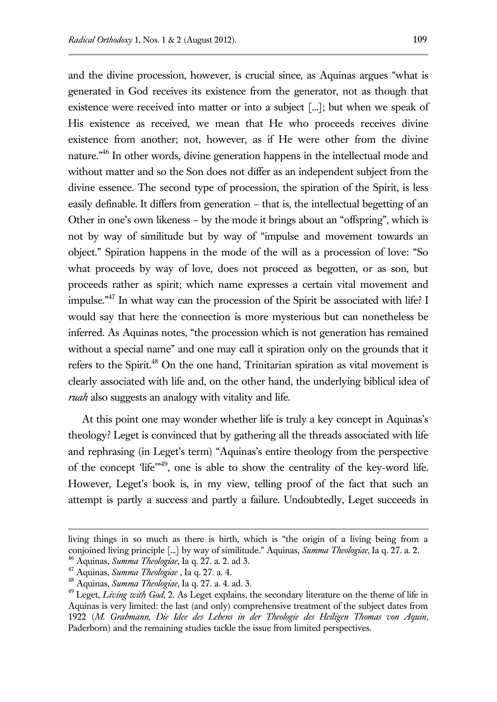and the divine procession, however, is crucial since, as Aquinas argues "what is generated in God receives its existence from the generator, not as though that existence were received into matter or into a subject [...]; but when we speak of His existence as received, we mean that He who proceeds receives divine existence from another; not, however, as if He were other from the divine nature."<sup>46</sup> In other words, divine generation happens in the intellectual mode and without matter and so the Son does not differ as an independent subject from the divine essence. The second type of procession, the spiration of the Spirit, is less easily definable. It differs from generation – that is, the intellectual begetting of an Other in one's own likeness – by the mode it brings about an "offspring", which is not by way of similitude but by way of "impulse and movement towards an object." Spiration happens in the mode of the will as a procession of love: "So what proceeds by way of love, does not proceed as begotten, or as son, but proceeds rather as spirit; which name expresses a certain vital movement and impulse."<sup>47</sup> In what way can the procession of the Spirit be associated with life? I would say that here the connection is more mysterious but can nonetheless be inferred. As Aquinas notes, "the procession which is not generation has remained without a special name" and one may call it spiration only on the grounds that it refers to the Spirit.<sup>48</sup> On the one hand, Trinitarian spiration as vital movement is clearly associated with life and, on the other hand, the underlying biblical idea of *ruah* also suggests an analogy with vitality and life.

At this point one may wonder whether life is truly a key concept in Aquinas's theology? Leget is convinced that by gathering all the threads associated with life and rephrasing (in Leget's term) "Aquinas's entire theology from the perspective of the concept 'life'"<sup>49</sup>, one is able to show the centrality of the key-word life. However, Leget's book is, in my view, telling proof of the fact that such an attempt is partly a success and partly a failure. Undoubtedly, Leget succeeds in

-

living things in so much as there is birth, which is "the origin of a living being from a conjoined living principle [...] by way of similitude." Aquinas, *Summa Theologiae*, Ia q. 27. a. 2.

<sup>46</sup> Aquinas, *Summa Theologiae*, Ia q. 27. a. 2. ad 3.

<sup>47</sup> Aquinas, *Summa Theologiae* , Ia q. 27. a. 4.

<sup>48</sup> Aquinas, *Summa Theologiae*, Ia q. 27. a. 4. ad. 3.

<sup>&</sup>lt;sup>49</sup> Leget, *Living with God*, 2. As Leget explains, the secondary literature on the theme of life in Aquinas is very limited: the last (and only) comprehensive treatment of the subject dates from 1922 (*M. Grabmann, Die Idee des Lebens in der Theologie des Heiligen Thomas von Aquin*, Paderborn) and the remaining studies tackle the issue from limited perspectives.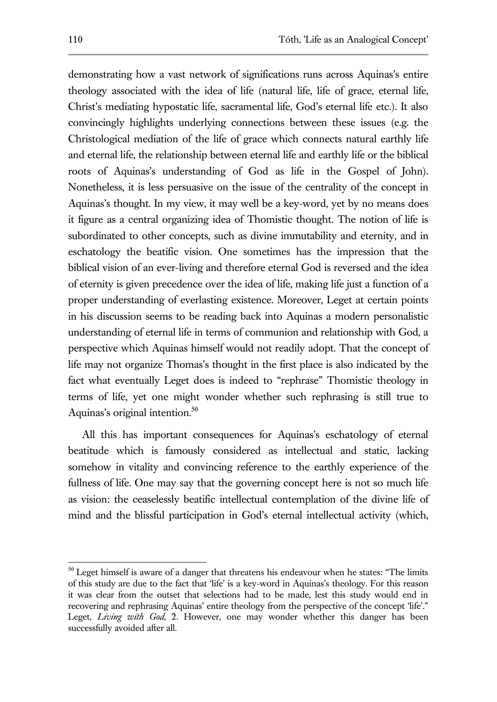demonstrating how a vast network of significations runs across Aquinas's entire theology associated with the idea of life (natural life, life of grace, eternal life, Christ's mediating hypostatic life, sacramental life, God's eternal life etc.). It also convincingly highlights underlying connections between these issues (e.g. the Christological mediation of the life of grace which connects natural earthly life and eternal life, the relationship between eternal life and earthly life or the biblical roots of Aquinas's understanding of God as life in the Gospel of John). Nonetheless, it is less persuasive on the issue of the centrality of the concept in Aquinas's thought. In my view, it may well be a key-word, yet by no means does it figure as a central organizing idea of Thomistic thought. The notion of life is subordinated to other concepts, such as divine immutability and eternity, and in eschatology the beatific vision. One sometimes has the impression that the biblical vision of an ever-living and therefore eternal God is reversed and the idea of eternity is given precedence over the idea of life, making life just a function of a proper understanding of everlasting existence. Moreover, Leget at certain points in his discussion seems to be reading back into Aquinas a modern personalistic understanding of eternal life in terms of communion and relationship with God, a perspective which Aquinas himself would not readily adopt. That the concept of life may not organize Thomas's thought in the first place is also indicated by the fact what eventually Leget does is indeed to "rephrase" Thomistic theology in terms of life, yet one might wonder whether such rephrasing is still true to Aquinas's original intention.<sup>50</sup>

All this has important consequences for Aquinas's eschatology of eternal beatitude which is famously considered as intellectual and static, lacking somehow in vitality and convincing reference to the earthly experience of the fullness of life. One may say that the governing concept here is not so much life as vision: the ceaselessly beatific intellectual contemplation of the divine life of mind and the blissful participation in God's eternal intellectual activity (which,

 $50$  Leget himself is aware of a danger that threatens his endeavour when he states: "The limits of this study are due to the fact that 'life' is a key-word in Aquinas's theology. For this reason it was clear from the outset that selections had to be made, lest this study would end in recovering and rephrasing Aquinas' entire theology from the perspective of the concept 'life'." Leget, *Living with God*, 2. However, one may wonder whether this danger has been successfully avoided after all.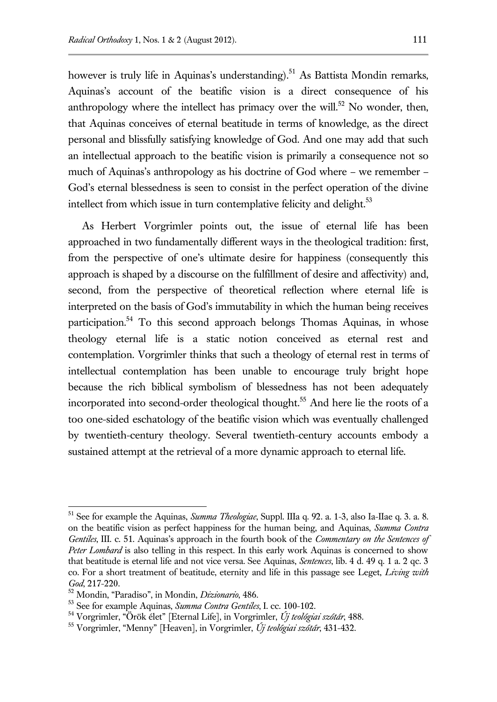however is truly life in Aquinas's understanding).<sup>51</sup> As Battista Mondin remarks, Aquinas's account of the beatific vision is a direct consequence of his anthropology where the intellect has primacy over the will.<sup>52</sup> No wonder, then, that Aquinas conceives of eternal beatitude in terms of knowledge, as the direct personal and blissfully satisfying knowledge of God. And one may add that such an intellectual approach to the beatific vision is primarily a consequence not so much of Aquinas's anthropology as his doctrine of God where – we remember – God's eternal blessedness is seen to consist in the perfect operation of the divine intellect from which issue in turn contemplative felicity and delight.<sup>53</sup>

As Herbert Vorgrimler points out, the issue of eternal life has been approached in two fundamentally different ways in the theological tradition: first, from the perspective of one's ultimate desire for happiness (consequently this approach is shaped by a discourse on the fulfillment of desire and affectivity) and, second, from the perspective of theoretical reflection where eternal life is interpreted on the basis of God's immutability in which the human being receives participation.<sup>54</sup> To this second approach belongs Thomas Aquinas, in whose theology eternal life is a static notion conceived as eternal rest and contemplation. Vorgrimler thinks that such a theology of eternal rest in terms of intellectual contemplation has been unable to encourage truly bright hope because the rich biblical symbolism of blessedness has not been adequately incorporated into second-order theological thought.<sup>55</sup> And here lie the roots of a too one-sided eschatology of the beatific vision which was eventually challenged by twentieth-century theology. Several twentieth-century accounts embody a sustained attempt at the retrieval of a more dynamic approach to eternal life.

<sup>51</sup> See for example the Aquinas, *Summa Theologiae*, Suppl. IIIa q. 92. a. 1-3, also Ia-IIae q. 3. a. 8. on the beatific vision as perfect happiness for the human being, and Aquinas, *Summa Contra Gentiles*, III. c. 51. Aquinas's approach in the fourth book of the *Commentary on the Sentences of Peter Lombard* is also telling in this respect. In this early work Aquinas is concerned to show that beatitude is eternal life and not vice versa. See Aquinas, *Sentences*, lib. 4 d. 49 q. 1 a. 2 qc. 3 co. For a short treatment of beatitude, eternity and life in this passage see Leget, *Living with God*, 217-220.

<sup>52</sup> Mondin, "Paradiso", in Mondin, *Dizionario*, 486.

<sup>53</sup> See for example Aquinas, *Summa Contra Gentiles*, I. cc. 100-102.

<sup>54</sup> Vorgrimler, "Örök élet" [Eternal Life], in Vorgrimler, *Új teológiai szótár*, 488.

<sup>55</sup> Vorgrimler, "Menny" [Heaven], in Vorgrimler, *Új teológiai szótár*, 431-432.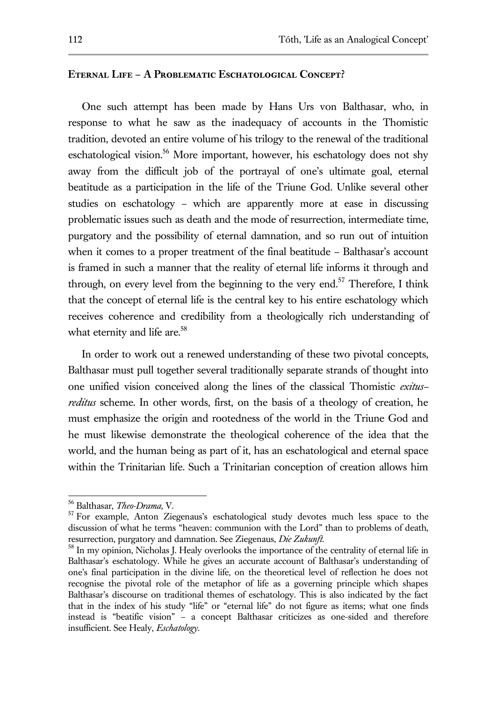## **Eternal Life – A Problematic Eschatological Concept?**

One such attempt has been made by Hans Urs von Balthasar, who, in response to what he saw as the inadequacy of accounts in the Thomistic tradition, devoted an entire volume of his trilogy to the renewal of the traditional eschatological vision.<sup>56</sup> More important, however, his eschatology does not shy away from the difficult job of the portrayal of one's ultimate goal, eternal beatitude as a participation in the life of the Triune God. Unlike several other studies on eschatology – which are apparently more at ease in discussing problematic issues such as death and the mode of resurrection, intermediate time, purgatory and the possibility of eternal damnation, and so run out of intuition when it comes to a proper treatment of the final beatitude – Balthasar's account is framed in such a manner that the reality of eternal life informs it through and through, on every level from the beginning to the very end.<sup>57</sup> Therefore, I think that the concept of eternal life is the central key to his entire eschatology which receives coherence and credibility from a theologically rich understanding of what eternity and life are.<sup>58</sup>

In order to work out a renewed understanding of these two pivotal concepts, Balthasar must pull together several traditionally separate strands of thought into one unified vision conceived along the lines of the classical Thomistic *exitus– reditus* scheme. In other words, first, on the basis of a theology of creation, he must emphasize the origin and rootedness of the world in the Triune God and he must likewise demonstrate the theological coherence of the idea that the world, and the human being as part of it, has an eschatological and eternal space within the Trinitarian life. Such a Trinitarian conception of creation allows him

<sup>56</sup> Balthasar, *Theo-Drama,* V.

<sup>&</sup>lt;sup>57</sup> For example, Anton Ziegenaus's eschatological study devotes much less space to the discussion of what he terms "heaven: communion with the Lord" than to problems of death, resurrection, purgatory and damnation. See Ziegenaus, *Die Zukunft*.

<sup>&</sup>lt;sup>58</sup> In my opinion, Nicholas J. Healy overlooks the importance of the centrality of eternal life in Balthasar's eschatology. While he gives an accurate account of Balthasar's understanding of one's final participation in the divine life, on the theoretical level of reflection he does not recognise the pivotal role of the metaphor of life as a governing principle which shapes Balthasar's discourse on traditional themes of eschatology. This is also indicated by the fact that in the index of his study "life" or "eternal life" do not figure as items; what one finds instead is "beatific vision" – a concept Balthasar criticizes as one-sided and therefore insufficient. See Healy, *Eschatology*.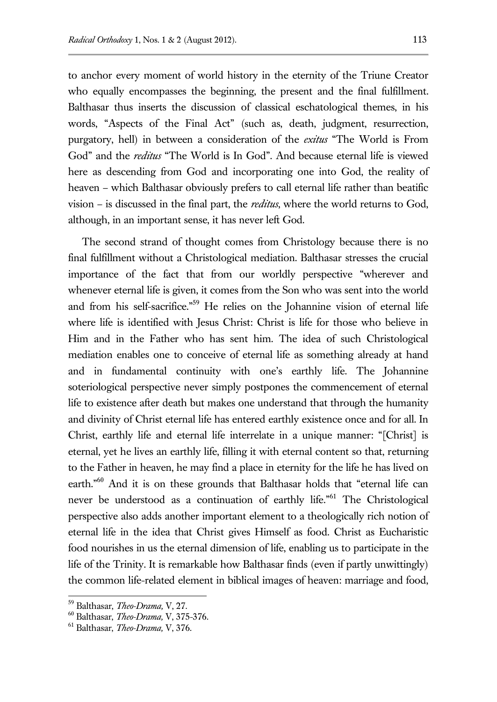to anchor every moment of world history in the eternity of the Triune Creator who equally encompasses the beginning, the present and the final fulfillment. Balthasar thus inserts the discussion of classical eschatological themes, in his words, "Aspects of the Final Act" (such as, death, judgment, resurrection, purgatory, hell) in between a consideration of the *exitus* "The World is From God" and the *reditus* "The World is In God". And because eternal life is viewed here as descending from God and incorporating one into God, the reality of heaven – which Balthasar obviously prefers to call eternal life rather than beatific vision – is discussed in the final part, the *reditus*, where the world returns to God, although, in an important sense, it has never left God.

The second strand of thought comes from Christology because there is no final fulfillment without a Christological mediation. Balthasar stresses the crucial importance of the fact that from our worldly perspective "wherever and whenever eternal life is given, it comes from the Son who was sent into the world and from his self-sacrifice."<sup>59</sup> He relies on the Johannine vision of eternal life where life is identified with Jesus Christ: Christ is life for those who believe in Him and in the Father who has sent him. The idea of such Christological mediation enables one to conceive of eternal life as something already at hand and in fundamental continuity with one's earthly life. The Johannine soteriological perspective never simply postpones the commencement of eternal life to existence after death but makes one understand that through the humanity and divinity of Christ eternal life has entered earthly existence once and for all. In Christ, earthly life and eternal life interrelate in a unique manner: "[Christ] is eternal, yet he lives an earthly life, filling it with eternal content so that, returning to the Father in heaven, he may find a place in eternity for the life he has lived on earth."<sup>60</sup> And it is on these grounds that Balthasar holds that "eternal life can never be understood as a continuation of earthly life." <sup>61</sup> The Christological perspective also adds another important element to a theologically rich notion of eternal life in the idea that Christ gives Himself as food. Christ as Eucharistic food nourishes in us the eternal dimension of life, enabling us to participate in the life of the Trinity. It is remarkable how Balthasar finds (even if partly unwittingly) the common life-related element in biblical images of heaven: marriage and food,

<sup>59</sup> Balthasar, *Theo-Drama,* V, 27.

<sup>60</sup> Balthasar, *Theo-Drama,* V, 375-376.

<sup>61</sup> Balthasar, *Theo-Drama,* V, 376.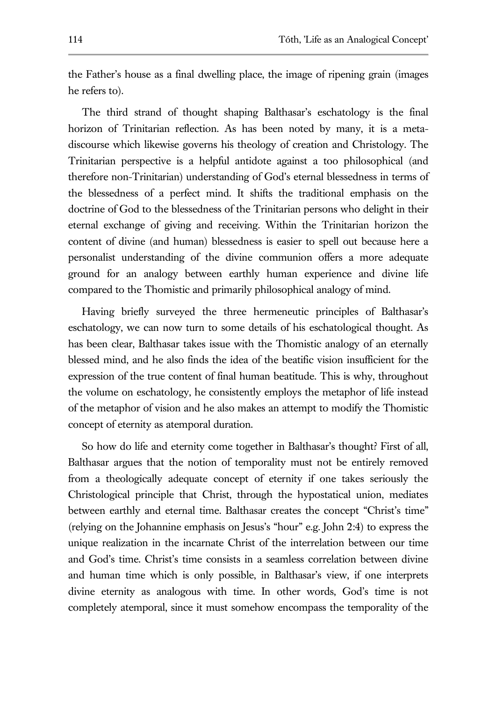the Father's house as a final dwelling place, the image of ripening grain (images he refers to).

The third strand of thought shaping Balthasar's eschatology is the final horizon of Trinitarian reflection. As has been noted by many, it is a metadiscourse which likewise governs his theology of creation and Christology. The Trinitarian perspective is a helpful antidote against a too philosophical (and therefore non-Trinitarian) understanding of God's eternal blessedness in terms of the blessedness of a perfect mind. It shifts the traditional emphasis on the doctrine of God to the blessedness of the Trinitarian persons who delight in their eternal exchange of giving and receiving. Within the Trinitarian horizon the content of divine (and human) blessedness is easier to spell out because here a personalist understanding of the divine communion offers a more adequate ground for an analogy between earthly human experience and divine life compared to the Thomistic and primarily philosophical analogy of mind.

Having briefly surveyed the three hermeneutic principles of Balthasar's eschatology, we can now turn to some details of his eschatological thought. As has been clear, Balthasar takes issue with the Thomistic analogy of an eternally blessed mind, and he also finds the idea of the beatific vision insufficient for the expression of the true content of final human beatitude. This is why, throughout the volume on eschatology, he consistently employs the metaphor of life instead of the metaphor of vision and he also makes an attempt to modify the Thomistic concept of eternity as atemporal duration.

So how do life and eternity come together in Balthasar's thought? First of all, Balthasar argues that the notion of temporality must not be entirely removed from a theologically adequate concept of eternity if one takes seriously the Christological principle that Christ, through the hypostatical union, mediates between earthly and eternal time. Balthasar creates the concept "Christ's time" (relying on the Johannine emphasis on Jesus's "hour" e.g. John 2:4) to express the unique realization in the incarnate Christ of the interrelation between our time and God's time. Christ's time consists in a seamless correlation between divine and human time which is only possible, in Balthasar's view, if one interprets divine eternity as analogous with time. In other words, God's time is not completely atemporal, since it must somehow encompass the temporality of the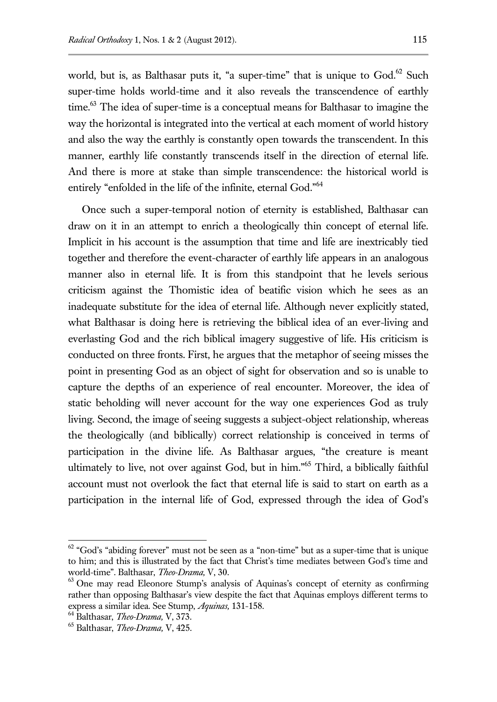world, but is, as Balthasar puts it, "a super-time" that is unique to God.<sup>62</sup> Such super-time holds world-time and it also reveals the transcendence of earthly time.<sup>63</sup> The idea of super-time is a conceptual means for Balthasar to imagine the way the horizontal is integrated into the vertical at each moment of world history and also the way the earthly is constantly open towards the transcendent. In this manner, earthly life constantly transcends itself in the direction of eternal life. And there is more at stake than simple transcendence: the historical world is entirely "enfolded in the life of the infinite, eternal God."<sup>64</sup>

Once such a super-temporal notion of eternity is established, Balthasar can draw on it in an attempt to enrich a theologically thin concept of eternal life. Implicit in his account is the assumption that time and life are inextricably tied together and therefore the event-character of earthly life appears in an analogous manner also in eternal life. It is from this standpoint that he levels serious criticism against the Thomistic idea of beatific vision which he sees as an inadequate substitute for the idea of eternal life. Although never explicitly stated, what Balthasar is doing here is retrieving the biblical idea of an ever-living and everlasting God and the rich biblical imagery suggestive of life. His criticism is conducted on three fronts. First, he argues that the metaphor of seeing misses the point in presenting God as an object of sight for observation and so is unable to capture the depths of an experience of real encounter. Moreover, the idea of static beholding will never account for the way one experiences God as truly living. Second, the image of seeing suggests a subject-object relationship, whereas the theologically (and biblically) correct relationship is conceived in terms of participation in the divine life. As Balthasar argues, "the creature is meant ultimately to live, not over against God, but in him." <sup>65</sup> Third, a biblically faithful account must not overlook the fact that eternal life is said to start on earth as a participation in the internal life of God, expressed through the idea of God's

 $62$  "God's "abiding forever" must not be seen as a "non-time" but as a super-time that is unique to him; and this is illustrated by the fact that Christ's time mediates between God's time and world-time". Balthasar, *Theo-Drama,* V, 30.

 $63$  One may read Eleonore Stump's analysis of Aquinas's concept of eternity as confirming rather than opposing Balthasar's view despite the fact that Aquinas employs different terms to express a similar idea. See Stump, *Aquinas,* 131-158.

<sup>64</sup> Balthasar, *Theo-Drama,* V, 373.

<sup>65</sup> Balthasar, *Theo-Drama,* V, 425.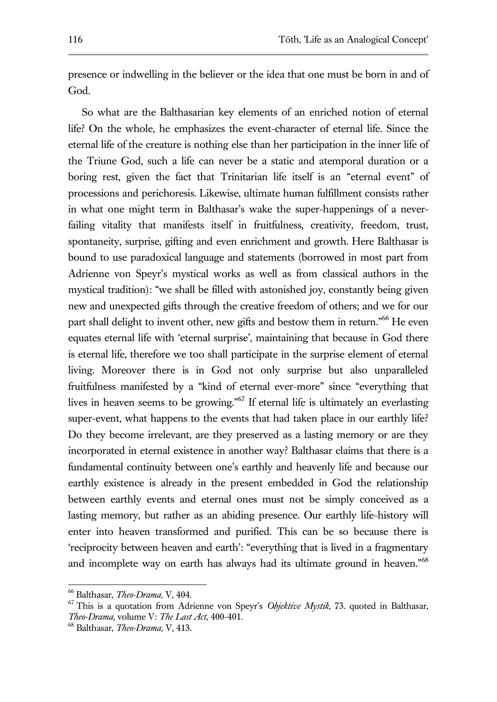presence or indwelling in the believer or the idea that one must be born in and of God.

So what are the Balthasarian key elements of an enriched notion of eternal life? On the whole, he emphasizes the event-character of eternal life. Since the eternal life of the creature is nothing else than her participation in the inner life of the Triune God, such a life can never be a static and atemporal duration or a boring rest, given the fact that Trinitarian life itself is an "eternal event" of processions and perichoresis. Likewise, ultimate human fulfillment consists rather in what one might term in Balthasar's wake the super-happenings of a neverfailing vitality that manifests itself in fruitfulness, creativity, freedom, trust, spontaneity, surprise, gifting and even enrichment and growth. Here Balthasar is bound to use paradoxical language and statements (borrowed in most part from Adrienne von Speyr's mystical works as well as from classical authors in the mystical tradition): "we shall be filled with astonished joy, constantly being given new and unexpected gifts through the creative freedom of others; and we for our part shall delight to invent other, new gifts and bestow them in return."<sup>66</sup> He even equates eternal life with 'eternal surprise', maintaining that because in God there is eternal life, therefore we too shall participate in the surprise element of eternal living. Moreover there is in God not only surprise but also unparalleled fruitfulness manifested by a "kind of eternal ever-more" since "everything that lives in heaven seems to be growing."<sup>67</sup> If eternal life is ultimately an everlasting super-event, what happens to the events that had taken place in our earthly life? Do they become irrelevant, are they preserved as a lasting memory or are they incorporated in eternal existence in another way? Balthasar claims that there is a fundamental continuity between one's earthly and heavenly life and because our earthly existence is already in the present embedded in God the relationship between earthly events and eternal ones must not be simply conceived as a lasting memory, but rather as an abiding presence. Our earthly life-history will enter into heaven transformed and purified. This can be so because there is 'reciprocity between heaven and earth': "everything that is lived in a fragmentary and incomplete way on earth has always had its ultimate ground in heaven."<sup>68</sup>

<sup>66</sup> Balthasar, *Theo-Drama,* V, 404.

<sup>67</sup> This is a quotation from Adrienne von Speyr's *Objektive Mystik*, 73. quoted in Balthasar, *Theo-Drama,* volume V: *The Last Act*, 400-401.

<sup>68</sup> Balthasar, *Theo-Drama,* V, 413.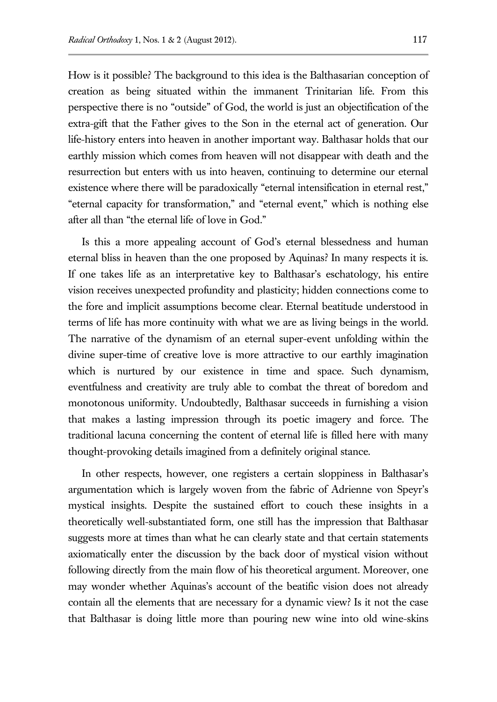How is it possible? The background to this idea is the Balthasarian conception of creation as being situated within the immanent Trinitarian life. From this perspective there is no "outside" of God, the world is just an objectification of the extra-gift that the Father gives to the Son in the eternal act of generation. Our life-history enters into heaven in another important way. Balthasar holds that our earthly mission which comes from heaven will not disappear with death and the resurrection but enters with us into heaven, continuing to determine our eternal existence where there will be paradoxically "eternal intensification in eternal rest," "eternal capacity for transformation," and "eternal event," which is nothing else after all than "the eternal life of love in God."

Is this a more appealing account of God's eternal blessedness and human eternal bliss in heaven than the one proposed by Aquinas? In many respects it is. If one takes life as an interpretative key to Balthasar's eschatology, his entire vision receives unexpected profundity and plasticity; hidden connections come to the fore and implicit assumptions become clear. Eternal beatitude understood in terms of life has more continuity with what we are as living beings in the world. The narrative of the dynamism of an eternal super-event unfolding within the divine super-time of creative love is more attractive to our earthly imagination which is nurtured by our existence in time and space. Such dynamism, eventfulness and creativity are truly able to combat the threat of boredom and monotonous uniformity. Undoubtedly, Balthasar succeeds in furnishing a vision that makes a lasting impression through its poetic imagery and force. The traditional lacuna concerning the content of eternal life is filled here with many thought-provoking details imagined from a definitely original stance.

In other respects, however, one registers a certain sloppiness in Balthasar's argumentation which is largely woven from the fabric of Adrienne von Speyr's mystical insights. Despite the sustained effort to couch these insights in a theoretically well-substantiated form, one still has the impression that Balthasar suggests more at times than what he can clearly state and that certain statements axiomatically enter the discussion by the back door of mystical vision without following directly from the main flow of his theoretical argument. Moreover, one may wonder whether Aquinas's account of the beatific vision does not already contain all the elements that are necessary for a dynamic view? Is it not the case that Balthasar is doing little more than pouring new wine into old wine-skins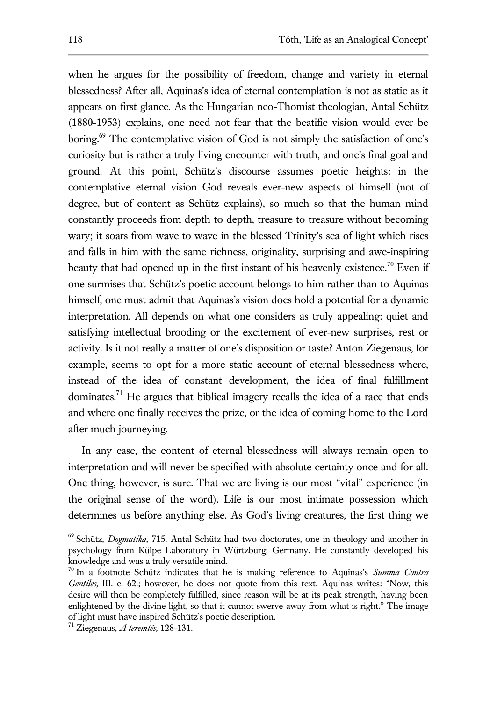when he argues for the possibility of freedom, change and variety in eternal blessedness? After all, Aquinas's idea of eternal contemplation is not as static as it appears on first glance. As the Hungarian neo-Thomist theologian, Antal Schütz (1880-1953) explains, one need not fear that the beatific vision would ever be boring.<sup>69</sup> The contemplative vision of God is not simply the satisfaction of one's curiosity but is rather a truly living encounter with truth, and one's final goal and ground. At this point, Schütz's discourse assumes poetic heights: in the contemplative eternal vision God reveals ever-new aspects of himself (not of degree, but of content as Schütz explains), so much so that the human mind constantly proceeds from depth to depth, treasure to treasure without becoming wary; it soars from wave to wave in the blessed Trinity's sea of light which rises and falls in him with the same richness, originality, surprising and awe-inspiring beauty that had opened up in the first instant of his heavenly existence.<sup>70</sup> Even if one surmises that Schütz's poetic account belongs to him rather than to Aquinas himself, one must admit that Aquinas's vision does hold a potential for a dynamic interpretation. All depends on what one considers as truly appealing: quiet and satisfying intellectual brooding or the excitement of ever-new surprises, rest or activity. Is it not really a matter of one's disposition or taste? Anton Ziegenaus, for example, seems to opt for a more static account of eternal blessedness where, instead of the idea of constant development, the idea of final fulfillment dominates.<sup>71</sup> He argues that biblical imagery recalls the idea of a race that ends and where one finally receives the prize, or the idea of coming home to the Lord after much journeying.

In any case, the content of eternal blessedness will always remain open to interpretation and will never be specified with absolute certainty once and for all. One thing, however, is sure. That we are living is our most "vital" experience (in the original sense of the word). Life is our most intimate possession which determines us before anything else. As God's living creatures, the first thing we

-

<sup>69</sup> Schütz, *Dogmatika*, 715. Antal Schütz had two doctorates, one in theology and another in psychology from Külpe Laboratory in Würtzburg, Germany. He constantly developed his knowledge and was a truly versatile mind.

<sup>70</sup> In a footnote Schütz indicates that he is making reference to Aquinas's *Summa Contra Gentiles,* III. c. 62.; however, he does not quote from this text. Aquinas writes: "Now, this desire will then be completely fulfilled, since reason will be at its peak strength, having been enlightened by the divine light, so that it cannot swerve away from what is right." The image of light must have inspired Schütz's poetic description.

<sup>71</sup> Ziegenaus, *A teremtés,* 128-131.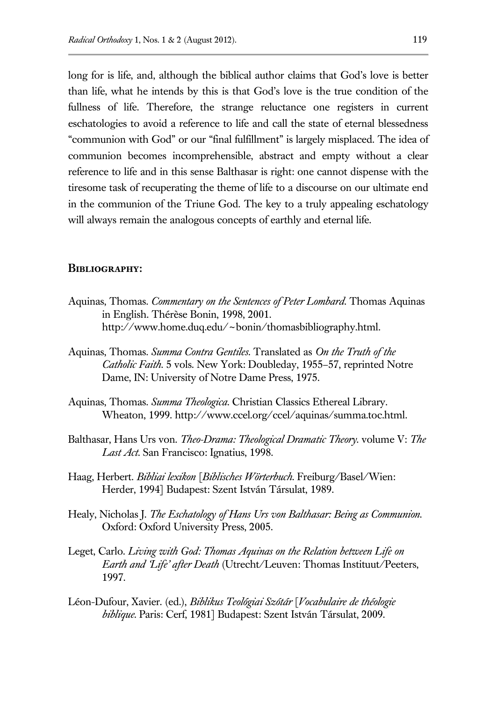long for is life, and, although the biblical author claims that God's love is better than life, what he intends by this is that God's love is the true condition of the fullness of life. Therefore, the strange reluctance one registers in current eschatologies to avoid a reference to life and call the state of eternal blessedness "communion with God" or our "final fulfillment" is largely misplaced. The idea of communion becomes incomprehensible, abstract and empty without a clear reference to life and in this sense Balthasar is right: one cannot dispense with the tiresome task of recuperating the theme of life to a discourse on our ultimate end in the communion of the Triune God. The key to a truly appealing eschatology will always remain the analogous concepts of earthly and eternal life.

#### **Bibliography:**

- Aquinas, Thomas*. Commentary on the Sentences of Peter Lombard*. Thomas Aquinas in English. Thérèse Bonin, 1998, 2001. http://www.home.duq.edu/~bonin/thomasbibliography.html.
- Aquinas, Thomas*. Summa Contra Gentiles*. Translated as *On the Truth of the Catholic Faith.* 5 vols. New York: Doubleday, 1955–57, reprinted Notre Dame, IN: University of Notre Dame Press, 1975.
- Aquinas, Thomas. *Summa Theologica.* Christian Classics Ethereal Library. Wheaton, 1999. http://www.ccel.org/ccel/aquinas/summa.toc.html.
- Balthasar, Hans Urs von. *Theo-Drama: Theological Dramatic Theory.* volume V: *The Last Act*. San Francisco: Ignatius, 1998.
- Haag, Herbert. *Bibliai lexikon* [*Biblisches Wörterbuch.* Freiburg/Basel/Wien: Herder, 1994] Budapest: Szent István Társulat, 1989.
- Healy, Nicholas J. *The Eschatology of Hans Urs von Balthasar: Being as Communion.* Oxford: Oxford University Press, 2005.
- Leget, Carlo. *Living with God: Thomas Aquinas on the Relation between Life on Earth and 'Life' after Death* (Utrecht/Leuven: Thomas Instituut/Peeters, 1997.
- Léon-Dufour, Xavier. (ed.), *Biblikus Teológiai Szótár* [*Vocabulaire de théologie biblique.* Paris: Cerf, 1981] Budapest: Szent István Társulat, 2009.